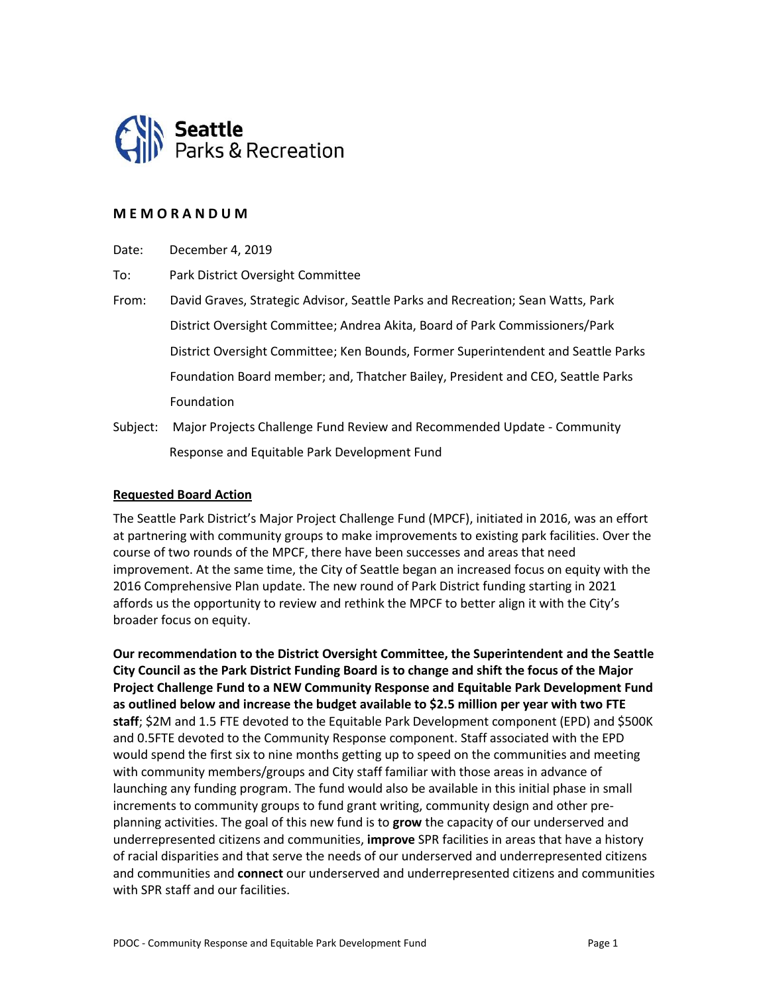

### **M E M O R A N D U M**

Date: December 4, 2019

To: Park District Oversight Committee

- From: David Graves, Strategic Advisor, Seattle Parks and Recreation; Sean Watts, Park District Oversight Committee; Andrea Akita, Board of Park Commissioners/Park District Oversight Committee; Ken Bounds, Former Superintendent and Seattle Parks Foundation Board member; and, Thatcher Bailey, President and CEO, Seattle Parks Foundation
- Subject: Major Projects Challenge Fund Review and Recommended Update Community Response and Equitable Park Development Fund

#### **Requested Board Action**

The Seattle Park District's Major Project Challenge Fund (MPCF), initiated in 2016, was an effort at partnering with community groups to make improvements to existing park facilities. Over the course of two rounds of the MPCF, there have been successes and areas that need improvement. At the same time, the City of Seattle began an increased focus on equity with the 2016 Comprehensive Plan update. The new round of Park District funding starting in 2021 affords us the opportunity to review and rethink the MPCF to better align it with the City's broader focus on equity.

**Our recommendation to the District Oversight Committee, the Superintendent and the Seattle City Council as the Park District Funding Board is to change and shift the focus of the Major Project Challenge Fund to a NEW Community Response and Equitable Park Development Fund as outlined below and increase the budget available to \$2.5 million per year with two FTE staff**; \$2M and 1.5 FTE devoted to the Equitable Park Development component (EPD) and \$500K and 0.5FTE devoted to the Community Response component. Staff associated with the EPD would spend the first six to nine months getting up to speed on the communities and meeting with community members/groups and City staff familiar with those areas in advance of launching any funding program. The fund would also be available in this initial phase in small increments to community groups to fund grant writing, community design and other preplanning activities. The goal of this new fund is to **grow** the capacity of our underserved and underrepresented citizens and communities, **improve** SPR facilities in areas that have a history of racial disparities and that serve the needs of our underserved and underrepresented citizens and communities and **connect** our underserved and underrepresented citizens and communities with SPR staff and our facilities.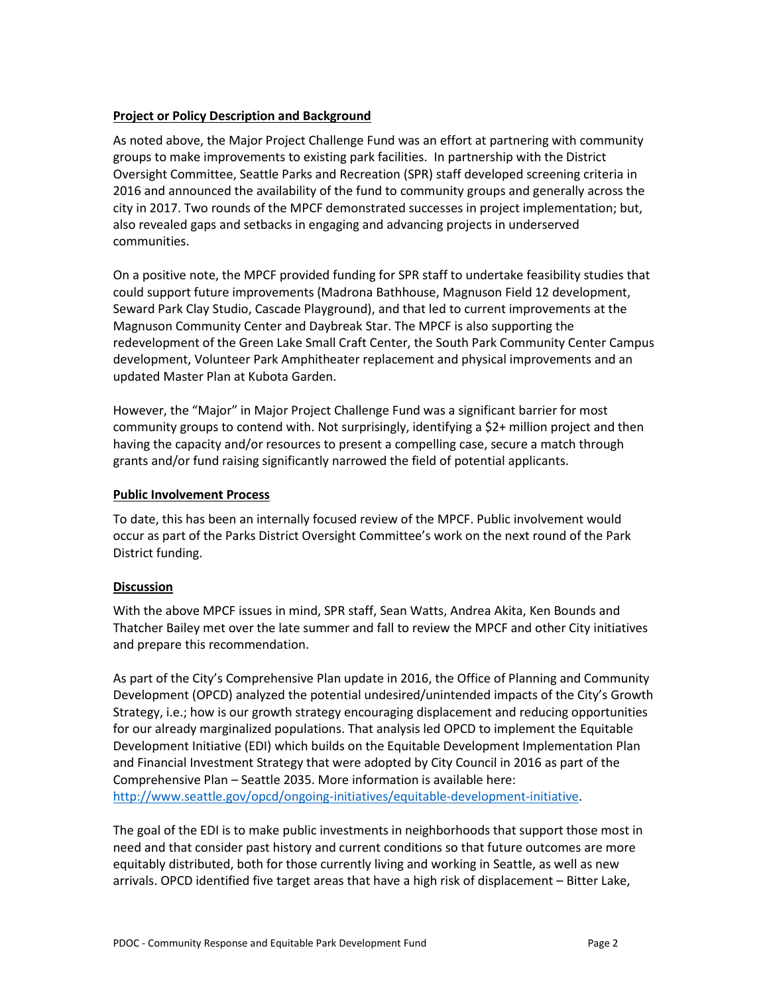### **Project or Policy Description and Background**

As noted above, the Major Project Challenge Fund was an effort at partnering with community groups to make improvements to existing park facilities. In partnership with the District Oversight Committee, Seattle Parks and Recreation (SPR) staff developed screening criteria in 2016 and announced the availability of the fund to community groups and generally across the city in 2017. Two rounds of the MPCF demonstrated successes in project implementation; but, also revealed gaps and setbacks in engaging and advancing projects in underserved communities.

On a positive note, the MPCF provided funding for SPR staff to undertake feasibility studies that could support future improvements (Madrona Bathhouse, Magnuson Field 12 development, Seward Park Clay Studio, Cascade Playground), and that led to current improvements at the Magnuson Community Center and Daybreak Star. The MPCF is also supporting the redevelopment of the Green Lake Small Craft Center, the South Park Community Center Campus development, Volunteer Park Amphitheater replacement and physical improvements and an updated Master Plan at Kubota Garden.

However, the "Major" in Major Project Challenge Fund was a significant barrier for most community groups to contend with. Not surprisingly, identifying a \$2+ million project and then having the capacity and/or resources to present a compelling case, secure a match through grants and/or fund raising significantly narrowed the field of potential applicants.

#### **Public Involvement Process**

To date, this has been an internally focused review of the MPCF. Public involvement would occur as part of the Parks District Oversight Committee's work on the next round of the Park District funding.

### **Discussion**

With the above MPCF issues in mind, SPR staff, Sean Watts, Andrea Akita, Ken Bounds and Thatcher Bailey met over the late summer and fall to review the MPCF and other City initiatives and prepare this recommendation.

As part of the City's Comprehensive Plan update in 2016, the Office of Planning and Community Development (OPCD) analyzed the potential undesired/unintended impacts of the City's Growth Strategy, i.e.; how is our growth strategy encouraging displacement and reducing opportunities for our already marginalized populations. That analysis led OPCD to implement the Equitable Development Initiative (EDI) which builds on the Equitable Development Implementation Plan and Financial Investment Strategy that were adopted by City Council in 2016 as part of the Comprehensive Plan – Seattle 2035. More information is available here: [http://www.seattle.gov/opcd/ongoing-initiatives/equitable-development-initiative.](http://www.seattle.gov/opcd/ongoing-initiatives/equitable-development-initiative)

The goal of the EDI is to make public investments in neighborhoods that support those most in need and that consider past history and current conditions so that future outcomes are more equitably distributed, both for those currently living and working in Seattle, as well as new arrivals. OPCD identified five target areas that have a high risk of displacement – Bitter Lake,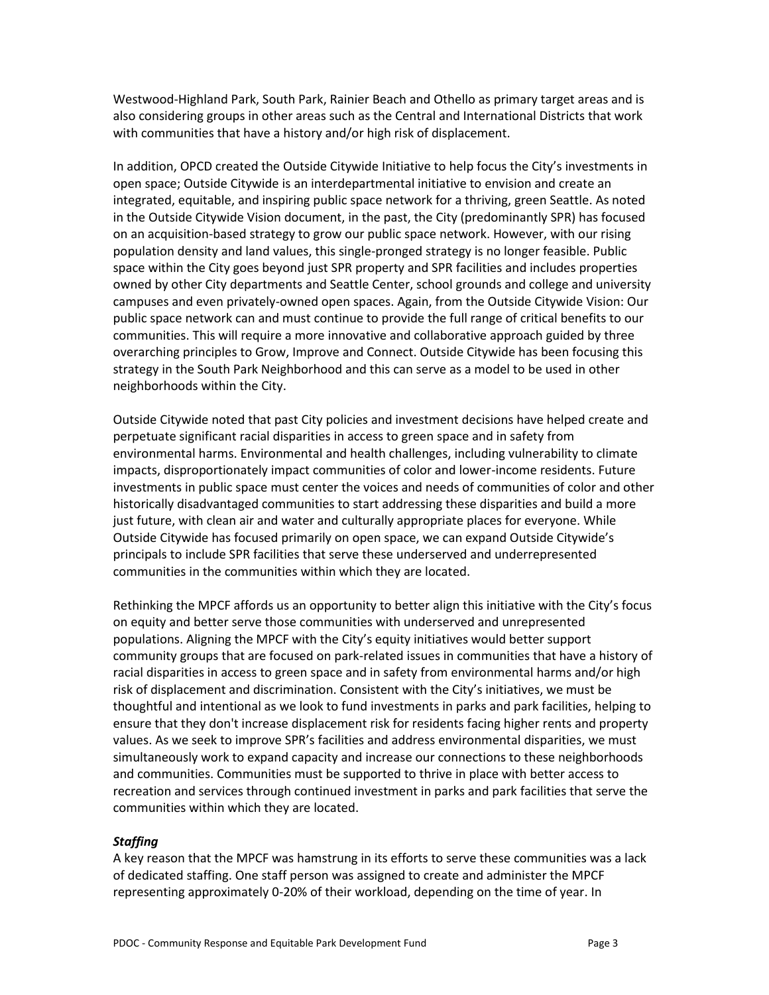Westwood-Highland Park, South Park, Rainier Beach and Othello as primary target areas and is also considering groups in other areas such as the Central and International Districts that work with communities that have a history and/or high risk of displacement.

In addition, OPCD created the Outside Citywide Initiative to help focus the City's investments in open space; Outside Citywide is an interdepartmental initiative to envision and create an integrated, equitable, and inspiring public space network for a thriving, green Seattle. As noted in the Outside Citywide Vision document, in the past, the City (predominantly SPR) has focused on an acquisition-based strategy to grow our public space network. However, with our rising population density and land values, this single-pronged strategy is no longer feasible. Public space within the City goes beyond just SPR property and SPR facilities and includes properties owned by other City departments and Seattle Center, school grounds and college and university campuses and even privately-owned open spaces. Again, from the Outside Citywide Vision: Our public space network can and must continue to provide the full range of critical benefits to our communities. This will require a more innovative and collaborative approach guided by three overarching principles to Grow, Improve and Connect. Outside Citywide has been focusing this strategy in the South Park Neighborhood and this can serve as a model to be used in other neighborhoods within the City.

Outside Citywide noted that past City policies and investment decisions have helped create and perpetuate significant racial disparities in access to green space and in safety from environmental harms. Environmental and health challenges, including vulnerability to climate impacts, disproportionately impact communities of color and lower-income residents. Future investments in public space must center the voices and needs of communities of color and other historically disadvantaged communities to start addressing these disparities and build a more just future, with clean air and water and culturally appropriate places for everyone. While Outside Citywide has focused primarily on open space, we can expand Outside Citywide's principals to include SPR facilities that serve these underserved and underrepresented communities in the communities within which they are located.

Rethinking the MPCF affords us an opportunity to better align this initiative with the City's focus on equity and better serve those communities with underserved and unrepresented populations. Aligning the MPCF with the City's equity initiatives would better support community groups that are focused on park-related issues in communities that have a history of racial disparities in access to green space and in safety from environmental harms and/or high risk of displacement and discrimination. Consistent with the City's initiatives, we must be thoughtful and intentional as we look to fund investments in parks and park facilities, helping to ensure that they don't increase displacement risk for residents facing higher rents and property values. As we seek to improve SPR's facilities and address environmental disparities, we must simultaneously work to expand capacity and increase our connections to these neighborhoods and communities. Communities must be supported to thrive in place with better access to recreation and services through continued investment in parks and park facilities that serve the communities within which they are located.

#### *Staffing*

A key reason that the MPCF was hamstrung in its efforts to serve these communities was a lack of dedicated staffing. One staff person was assigned to create and administer the MPCF representing approximately 0-20% of their workload, depending on the time of year. In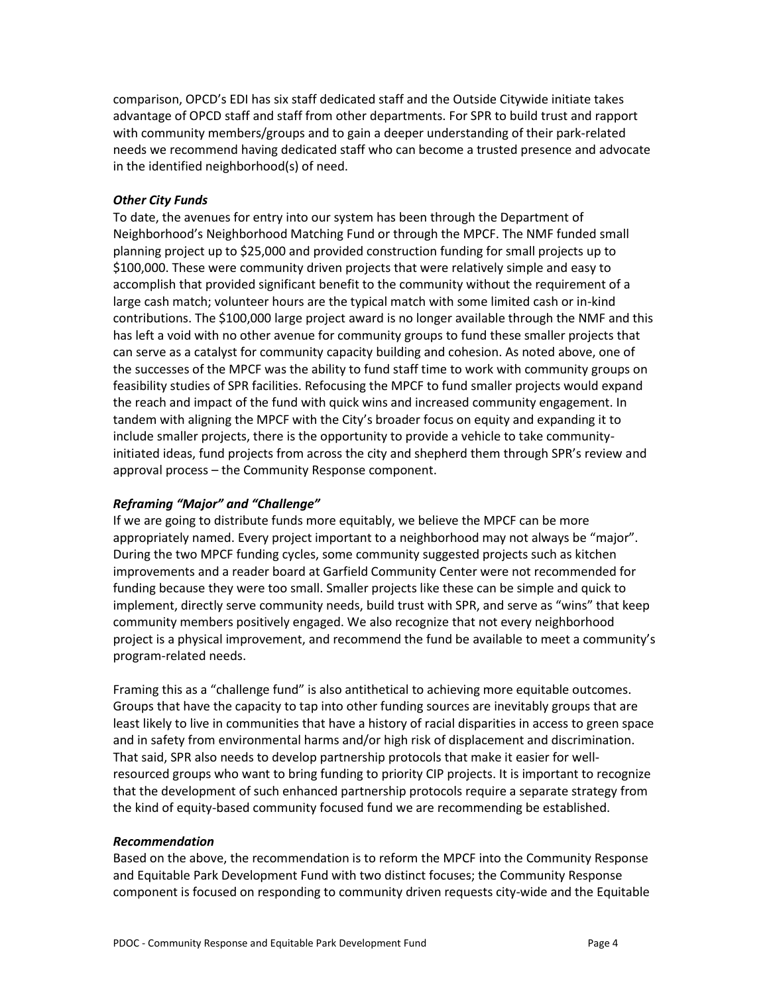comparison, OPCD's EDI has six staff dedicated staff and the Outside Citywide initiate takes advantage of OPCD staff and staff from other departments. For SPR to build trust and rapport with community members/groups and to gain a deeper understanding of their park-related needs we recommend having dedicated staff who can become a trusted presence and advocate in the identified neighborhood(s) of need.

### *Other City Funds*

To date, the avenues for entry into our system has been through the Department of Neighborhood's Neighborhood Matching Fund or through the MPCF. The NMF funded small planning project up to \$25,000 and provided construction funding for small projects up to \$100,000. These were community driven projects that were relatively simple and easy to accomplish that provided significant benefit to the community without the requirement of a large cash match; volunteer hours are the typical match with some limited cash or in-kind contributions. The \$100,000 large project award is no longer available through the NMF and this has left a void with no other avenue for community groups to fund these smaller projects that can serve as a catalyst for community capacity building and cohesion. As noted above, one of the successes of the MPCF was the ability to fund staff time to work with community groups on feasibility studies of SPR facilities. Refocusing the MPCF to fund smaller projects would expand the reach and impact of the fund with quick wins and increased community engagement. In tandem with aligning the MPCF with the City's broader focus on equity and expanding it to include smaller projects, there is the opportunity to provide a vehicle to take communityinitiated ideas, fund projects from across the city and shepherd them through SPR's review and approval process – the Community Response component.

# *Reframing "Major" and "Challenge"*

If we are going to distribute funds more equitably, we believe the MPCF can be more appropriately named. Every project important to a neighborhood may not always be "major". During the two MPCF funding cycles, some community suggested projects such as kitchen improvements and a reader board at Garfield Community Center were not recommended for funding because they were too small. Smaller projects like these can be simple and quick to implement, directly serve community needs, build trust with SPR, and serve as "wins" that keep community members positively engaged. We also recognize that not every neighborhood project is a physical improvement, and recommend the fund be available to meet a community's program-related needs.

Framing this as a "challenge fund" is also antithetical to achieving more equitable outcomes. Groups that have the capacity to tap into other funding sources are inevitably groups that are least likely to live in communities that have a history of racial disparities in access to green space and in safety from environmental harms and/or high risk of displacement and discrimination. That said, SPR also needs to develop partnership protocols that make it easier for wellresourced groups who want to bring funding to priority CIP projects. It is important to recognize that the development of such enhanced partnership protocols require a separate strategy from the kind of equity-based community focused fund we are recommending be established.

### *Recommendation*

Based on the above, the recommendation is to reform the MPCF into the Community Response and Equitable Park Development Fund with two distinct focuses; the Community Response component is focused on responding to community driven requests city-wide and the Equitable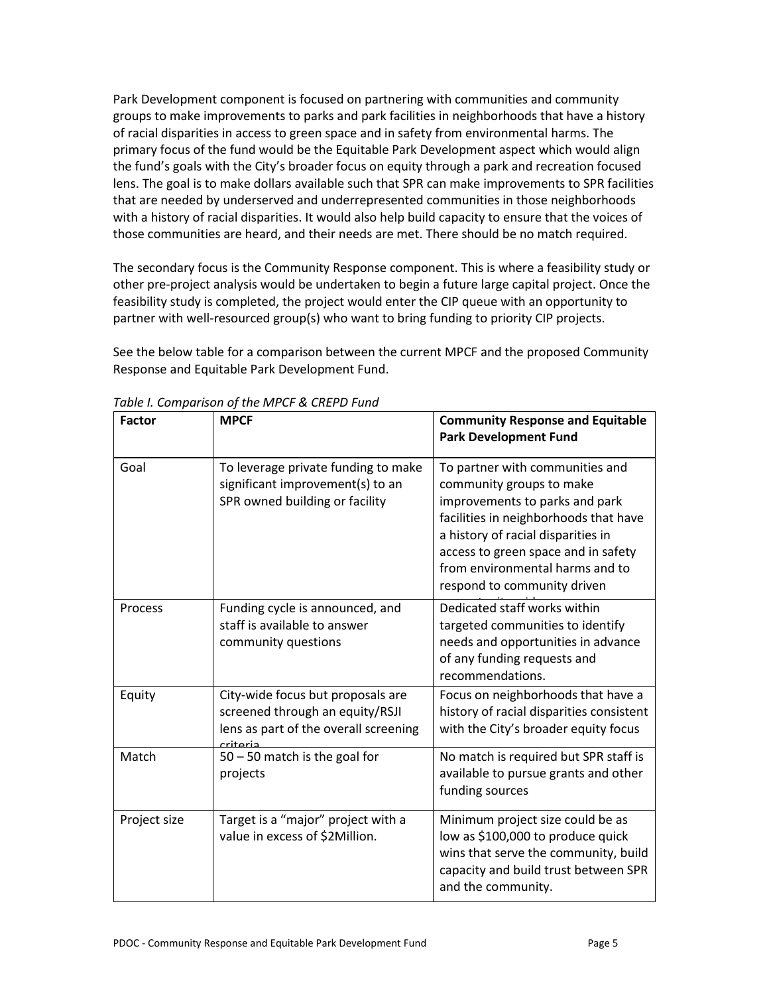Park Development component is focused on partnering with communities and community groups to make improvements to parks and park facilities in neighborhoods that have a history of racial disparities in access to green space and in safety from environmental harms. The primary focus of the fund would be the Equitable Park Development aspect which would align the fund's goals with the City's broader focus on equity through a park and recreation focused lens. The goal is to make dollars available such that SPR can make improvements to SPR facilities that are needed by underserved and underrepresented communities in those neighborhoods with a history of racial disparities. It would also help build capacity to ensure that the voices of those communities are heard, and their needs are met. There should be no match required.

The secondary focus is the Community Response component. This is where a feasibility study or other pre-project analysis would be undertaken to begin a future large capital project. Once the feasibility study is completed, the project would enter the CIP queue with an opportunity to partner with well-resourced group(s) who want to bring funding to priority CIP projects.

See the below table for a comparison between the current MPCF and the proposed Community Response and Equitable Park Development Fund.

| <b>Factor</b> | <b>MPCF</b>                                                                                                               | <b>Community Response and Equitable</b><br><b>Park Development Fund</b>                                                                                                                                                                                                               |
|---------------|---------------------------------------------------------------------------------------------------------------------------|---------------------------------------------------------------------------------------------------------------------------------------------------------------------------------------------------------------------------------------------------------------------------------------|
| Goal          | To leverage private funding to make<br>significant improvement(s) to an<br>SPR owned building or facility                 | To partner with communities and<br>community groups to make<br>improvements to parks and park<br>facilities in neighborhoods that have<br>a history of racial disparities in<br>access to green space and in safety<br>from environmental harms and to<br>respond to community driven |
| Process       | Funding cycle is announced, and<br>staff is available to answer<br>community questions                                    | Dedicated staff works within<br>targeted communities to identify<br>needs and opportunities in advance<br>of any funding requests and<br>recommendations.                                                                                                                             |
| Equity        | City-wide focus but proposals are<br>screened through an equity/RSJI<br>lens as part of the overall screening<br>criteria | Focus on neighborhoods that have a<br>history of racial disparities consistent<br>with the City's broader equity focus                                                                                                                                                                |
| Match         | $50 - 50$ match is the goal for<br>projects                                                                               | No match is required but SPR staff is<br>available to pursue grants and other<br>funding sources                                                                                                                                                                                      |
| Project size  | Target is a "major" project with a<br>value in excess of \$2Million.                                                      | Minimum project size could be as<br>low as \$100,000 to produce quick<br>wins that serve the community, build<br>capacity and build trust between SPR<br>and the community.                                                                                                           |

*Table I. Comparison of the MPCF & CREPD Fund*